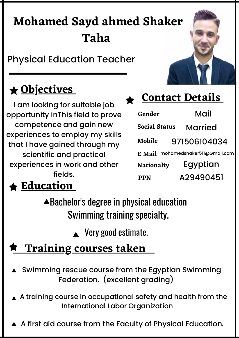# **Mohamed Sayd ahmed Shaker Taha**

Physical Education Teacher

## **Objectives**

I am looking for suitable job opportunity inThis field to prove competence and gain new experiences to employ my skills that I have gained through my scientific and practical experiences in work and other fields.



| Gender                               | Mail         |
|--------------------------------------|--------------|
| <b>Social Status</b>                 | Married      |
| Mobile                               | 971506104034 |
| mohamedshaker511@Gmail.com<br>E Mail |              |
| <b>Nationalty</b>                    | Egyptian     |
| <b>PPN</b>                           | A29490451    |

## **Education**

Bachelor's degree in physical education Swimming training specialty.

▲ Very good estimate.

## **Training courses taken**

- ▲ Swimming rescue course from the Egyptian Swimming Federation. (excellent grading)
- $\blacktriangle$  A training course in occupational safety and health from the International Labor Organization
- A first aid course from the Faculty of Physical Education.